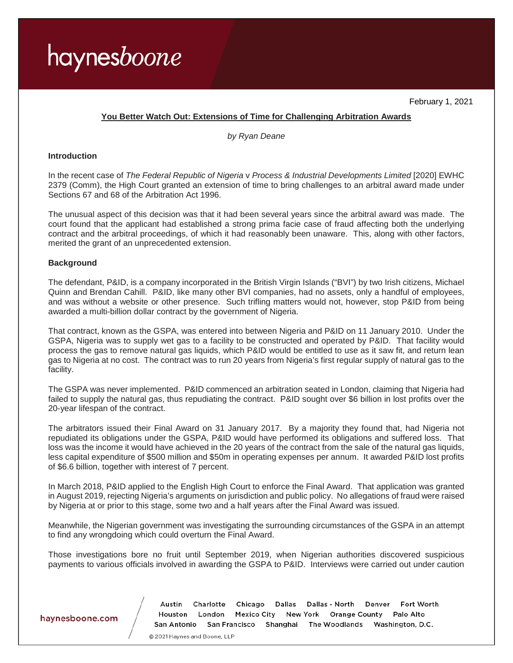

February 1, 2021

### **You Better Watch Out: Extensions of Time for Challenging Arbitration Awards**

*by Ryan Deane*

#### **Introduction**

In the recent case of *The Federal Republic of Nigeria* v *Process & Industrial Developments Limited* [2020] EWHC 2379 (Comm), the High Court granted an extension of time to bring challenges to an arbitral award made under Sections 67 and 68 of the Arbitration Act 1996.

The unusual aspect of this decision was that it had been several years since the arbitral award was made. The court found that the applicant had established a strong prima facie case of fraud affecting both the underlying contract and the arbitral proceedings, of which it had reasonably been unaware. This, along with other factors, merited the grant of an unprecedented extension.

### **Background**

The defendant, P&ID, is a company incorporated in the British Virgin Islands ("BVI") by two Irish citizens, Michael Quinn and Brendan Cahill. P&ID, like many other BVI companies, had no assets, only a handful of employees, and was without a website or other presence. Such trifling matters would not, however, stop P&ID from being awarded a multi-billion dollar contract by the government of Nigeria.

That contract, known as the GSPA, was entered into between Nigeria and P&ID on 11 January 2010. Under the GSPA, Nigeria was to supply wet gas to a facility to be constructed and operated by P&ID. That facility would process the gas to remove natural gas liquids, which P&ID would be entitled to use as it saw fit, and return lean gas to Nigeria at no cost. The contract was to run 20 years from Nigeria's first regular supply of natural gas to the facility.

The GSPA was never implemented. P&ID commenced an arbitration seated in London, claiming that Nigeria had failed to supply the natural gas, thus repudiating the contract. P&ID sought over \$6 billion in lost profits over the 20-year lifespan of the contract.

The arbitrators issued their Final Award on 31 January 2017. By a majority they found that, had Nigeria not repudiated its obligations under the GSPA, P&ID would have performed its obligations and suffered loss. That loss was the income it would have achieved in the 20 years of the contract from the sale of the natural gas liquids, less capital expenditure of \$500 million and \$50m in operating expenses per annum. It awarded P&ID lost profits of \$6.6 billion, together with interest of 7 percent.

In March 2018, P&ID applied to the English High Court to enforce the Final Award. That application was granted in August 2019, rejecting Nigeria's arguments on jurisdiction and public policy. No allegations of fraud were raised by Nigeria at or prior to this stage, some two and a half years after the Final Award was issued.

Meanwhile, the Nigerian government was investigating the surrounding circumstances of the GSPA in an attempt to find any wrongdoing which could overturn the Final Award.

Those investigations bore no fruit until September 2019, when Nigerian authorities discovered suspicious payments to various officials involved in awarding the GSPA to P&ID. Interviews were carried out under caution

### haynesboone.com

Dallas - North Fort Worth Austin Charlotte Chicago Dallas Denver Houston London Mexico City New York Orange County Palo Alto San Antonio San Francisco Shanghai The Woodlands Washington, D.C.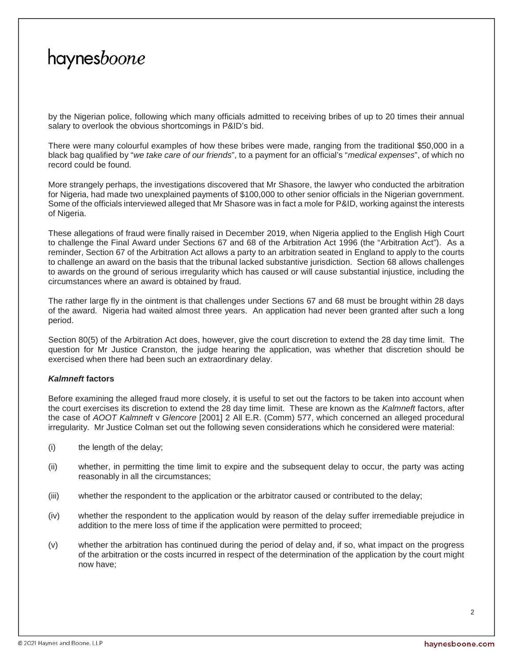by the Nigerian police, following which many officials admitted to receiving bribes of up to 20 times their annual salary to overlook the obvious shortcomings in P&ID's bid.

There were many colourful examples of how these bribes were made, ranging from the traditional \$50,000 in a black bag qualified by "*we take care of our friends*", to a payment for an official's "*medical expenses*", of which no record could be found.

More strangely perhaps, the investigations discovered that Mr Shasore, the lawyer who conducted the arbitration for Nigeria, had made two unexplained payments of \$100,000 to other senior officials in the Nigerian government. Some of the officials interviewed alleged that Mr Shasore was in fact a mole for P&ID, working against the interests of Nigeria.

These allegations of fraud were finally raised in December 2019, when Nigeria applied to the English High Court to challenge the Final Award under Sections 67 and 68 of the Arbitration Act 1996 (the "Arbitration Act"). As a reminder, Section 67 of the Arbitration Act allows a party to an arbitration seated in England to apply to the courts to challenge an award on the basis that the tribunal lacked substantive jurisdiction. Section 68 allows challenges to awards on the ground of serious irregularity which has caused or will cause substantial injustice, including the circumstances where an award is obtained by fraud.

The rather large fly in the ointment is that challenges under Sections 67 and 68 must be brought within 28 days of the award. Nigeria had waited almost three years. An application had never been granted after such a long period.

Section 80(5) of the Arbitration Act does, however, give the court discretion to extend the 28 day time limit. The question for Mr Justice Cranston, the judge hearing the application, was whether that discretion should be exercised when there had been such an extraordinary delay.

### *Kalmneft* **factors**

Before examining the alleged fraud more closely, it is useful to set out the factors to be taken into account when the court exercises its discretion to extend the 28 day time limit. These are known as the *Kalmneft* factors, after the case of *AOOT Kalmneft* v *Glencore* [2001] 2 All E.R. (Comm) 577, which concerned an alleged procedural irregularity. Mr Justice Colman set out the following seven considerations which he considered were material:

- (i) the length of the delay;
- (ii) whether, in permitting the time limit to expire and the subsequent delay to occur, the party was acting reasonably in all the circumstances;
- (iii) whether the respondent to the application or the arbitrator caused or contributed to the delay;
- (iv) whether the respondent to the application would by reason of the delay suffer irremediable prejudice in addition to the mere loss of time if the application were permitted to proceed;
- (v) whether the arbitration has continued during the period of delay and, if so, what impact on the progress of the arbitration or the costs incurred in respect of the determination of the application by the court might now have;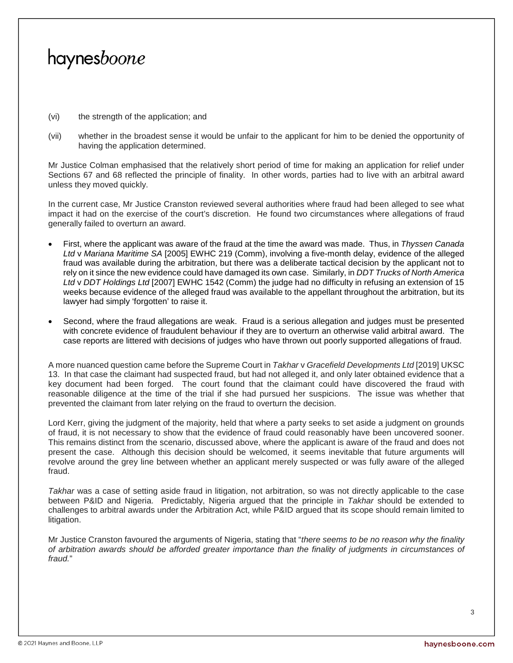- (vi) the strength of the application; and
- (vii) whether in the broadest sense it would be unfair to the applicant for him to be denied the opportunity of having the application determined.

Mr Justice Colman emphasised that the relatively short period of time for making an application for relief under Sections 67 and 68 reflected the principle of finality. In other words, parties had to live with an arbitral award unless they moved quickly.

In the current case, Mr Justice Cranston reviewed several authorities where fraud had been alleged to see what impact it had on the exercise of the court's discretion. He found two circumstances where allegations of fraud generally failed to overturn an award.

- First, where the applicant was aware of the fraud at the time the award was made. Thus, in *Thyssen Canada Ltd* v *Mariana Maritime SA* [2005] EWHC 219 (Comm), involving a five-month delay, evidence of the alleged fraud was available during the arbitration, but there was a deliberate tactical decision by the applicant not to rely on it since the new evidence could have damaged its own case. Similarly, in *DDT Trucks of North America Ltd* v *DDT Holdings Ltd* [2007] EWHC 1542 (Comm) the judge had no difficulty in refusing an extension of 15 weeks because evidence of the alleged fraud was available to the appellant throughout the arbitration, but its lawyer had simply 'forgotten' to raise it.
- Second, where the fraud allegations are weak. Fraud is a serious allegation and judges must be presented with concrete evidence of fraudulent behaviour if they are to overturn an otherwise valid arbitral award. The case reports are littered with decisions of judges who have thrown out poorly supported allegations of fraud.

A more nuanced question came before the Supreme Court in *Takhar* v *Gracefield Developments Ltd* [2019] UKSC 13. In that case the claimant had suspected fraud, but had not alleged it, and only later obtained evidence that a key document had been forged. The court found that the claimant could have discovered the fraud with reasonable diligence at the time of the trial if she had pursued her suspicions. The issue was whether that prevented the claimant from later relying on the fraud to overturn the decision.

Lord Kerr, giving the judgment of the majority, held that where a party seeks to set aside a judgment on grounds of fraud, it is not necessary to show that the evidence of fraud could reasonably have been uncovered sooner. This remains distinct from the scenario, discussed above, where the applicant is aware of the fraud and does not present the case. Although this decision should be welcomed, it seems inevitable that future arguments will revolve around the grey line between whether an applicant merely suspected or was fully aware of the alleged fraud.

*Takhar* was a case of setting aside fraud in litigation, not arbitration, so was not directly applicable to the case between P&ID and Nigeria. Predictably, Nigeria argued that the principle in *Takhar* should be extended to challenges to arbitral awards under the Arbitration Act, while P&ID argued that its scope should remain limited to litigation.

Mr Justice Cranston favoured the arguments of Nigeria, stating that "*there seems to be no reason why the finality of arbitration awards should be afforded greater importance than the finality of judgments in circumstances of fraud.*"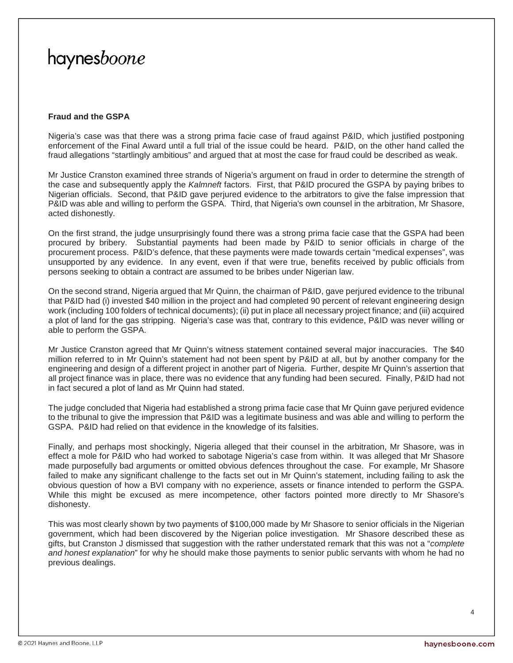### **Fraud and the GSPA**

Nigeria's case was that there was a strong prima facie case of fraud against P&ID, which justified postponing enforcement of the Final Award until a full trial of the issue could be heard. P&ID, on the other hand called the fraud allegations "startlingly ambitious" and argued that at most the case for fraud could be described as weak.

Mr Justice Cranston examined three strands of Nigeria's argument on fraud in order to determine the strength of the case and subsequently apply the *Kalmneft* factors. First, that P&ID procured the GSPA by paying bribes to Nigerian officials. Second, that P&ID gave perjured evidence to the arbitrators to give the false impression that P&ID was able and willing to perform the GSPA. Third, that Nigeria's own counsel in the arbitration, Mr Shasore, acted dishonestly.

On the first strand, the judge unsurprisingly found there was a strong prima facie case that the GSPA had been procured by bribery. Substantial payments had been made by P&ID to senior officials in charge of the procurement process. P&ID's defence, that these payments were made towards certain "medical expenses", was unsupported by any evidence. In any event, even if that were true, benefits received by public officials from persons seeking to obtain a contract are assumed to be bribes under Nigerian law.

On the second strand, Nigeria argued that Mr Quinn, the chairman of P&ID, gave perjured evidence to the tribunal that P&ID had (i) invested \$40 million in the project and had completed 90 percent of relevant engineering design work (including 100 folders of technical documents); (ii) put in place all necessary project finance; and (iii) acquired a plot of land for the gas stripping. Nigeria's case was that, contrary to this evidence, P&ID was never willing or able to perform the GSPA.

Mr Justice Cranston agreed that Mr Quinn's witness statement contained several major inaccuracies. The \$40 million referred to in Mr Quinn's statement had not been spent by P&ID at all, but by another company for the engineering and design of a different project in another part of Nigeria. Further, despite Mr Quinn's assertion that all project finance was in place, there was no evidence that any funding had been secured. Finally, P&ID had not in fact secured a plot of land as Mr Quinn had stated.

The judge concluded that Nigeria had established a strong prima facie case that Mr Quinn gave perjured evidence to the tribunal to give the impression that P&ID was a legitimate business and was able and willing to perform the GSPA. P&ID had relied on that evidence in the knowledge of its falsities.

Finally, and perhaps most shockingly, Nigeria alleged that their counsel in the arbitration, Mr Shasore, was in effect a mole for P&ID who had worked to sabotage Nigeria's case from within. It was alleged that Mr Shasore made purposefully bad arguments or omitted obvious defences throughout the case. For example, Mr Shasore failed to make any significant challenge to the facts set out in Mr Quinn's statement, including failing to ask the obvious question of how a BVI company with no experience, assets or finance intended to perform the GSPA. While this might be excused as mere incompetence, other factors pointed more directly to Mr Shasore's dishonesty.

This was most clearly shown by two payments of \$100,000 made by Mr Shasore to senior officials in the Nigerian government, which had been discovered by the Nigerian police investigation. Mr Shasore described these as gifts, but Cranston J dismissed that suggestion with the rather understated remark that this was not a "*complete and honest explanation*" for why he should make those payments to senior public servants with whom he had no previous dealings.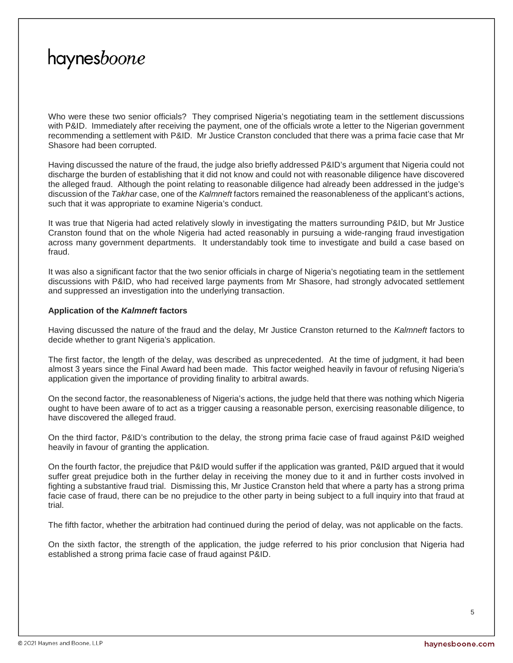Who were these two senior officials? They comprised Nigeria's negotiating team in the settlement discussions with P&ID. Immediately after receiving the payment, one of the officials wrote a letter to the Nigerian government recommending a settlement with P&ID. Mr Justice Cranston concluded that there was a prima facie case that Mr Shasore had been corrupted.

Having discussed the nature of the fraud, the judge also briefly addressed P&ID's argument that Nigeria could not discharge the burden of establishing that it did not know and could not with reasonable diligence have discovered the alleged fraud. Although the point relating to reasonable diligence had already been addressed in the judge's discussion of the *Takhar* case, one of the *Kalmneft* factors remained the reasonableness of the applicant's actions, such that it was appropriate to examine Nigeria's conduct.

It was true that Nigeria had acted relatively slowly in investigating the matters surrounding P&ID, but Mr Justice Cranston found that on the whole Nigeria had acted reasonably in pursuing a wide-ranging fraud investigation across many government departments. It understandably took time to investigate and build a case based on fraud.

It was also a significant factor that the two senior officials in charge of Nigeria's negotiating team in the settlement discussions with P&ID, who had received large payments from Mr Shasore, had strongly advocated settlement and suppressed an investigation into the underlying transaction.

### **Application of the** *Kalmneft* **factors**

Having discussed the nature of the fraud and the delay, Mr Justice Cranston returned to the *Kalmneft* factors to decide whether to grant Nigeria's application.

The first factor, the length of the delay, was described as unprecedented. At the time of judgment, it had been almost 3 years since the Final Award had been made. This factor weighed heavily in favour of refusing Nigeria's application given the importance of providing finality to arbitral awards.

On the second factor, the reasonableness of Nigeria's actions, the judge held that there was nothing which Nigeria ought to have been aware of to act as a trigger causing a reasonable person, exercising reasonable diligence, to have discovered the alleged fraud.

On the third factor, P&ID's contribution to the delay, the strong prima facie case of fraud against P&ID weighed heavily in favour of granting the application.

On the fourth factor, the prejudice that P&ID would suffer if the application was granted, P&ID argued that it would suffer great prejudice both in the further delay in receiving the money due to it and in further costs involved in fighting a substantive fraud trial. Dismissing this, Mr Justice Cranston held that where a party has a strong prima facie case of fraud, there can be no prejudice to the other party in being subject to a full inquiry into that fraud at trial.

The fifth factor, whether the arbitration had continued during the period of delay, was not applicable on the facts.

On the sixth factor, the strength of the application, the judge referred to his prior conclusion that Nigeria had established a strong prima facie case of fraud against P&ID.